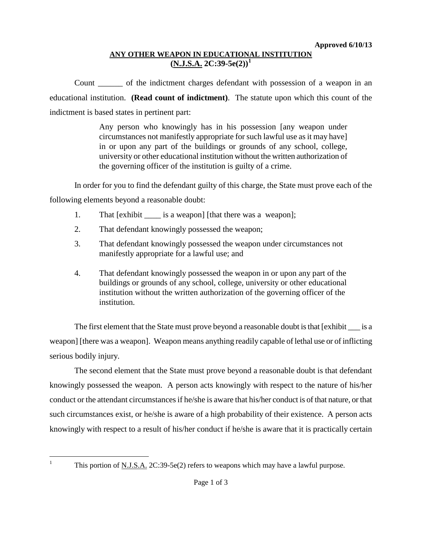# **ANY OTHER WEAPON IN EDUCATIONAL INSTITUTION (N.J.S.A. 2C:39-5e(2))[1](#page-2-0)**

Count \_\_\_\_\_\_ of the indictment charges defendant with possession of a weapon in an educational institution. **(Read count of indictment)**. The statute upon which this count of the indictment is based states in pertinent part:

> Any person who knowingly has in his possession [any weapon under circumstances not manifestly appropriate for such lawful use as it may have] in or upon any part of the buildings or grounds of any school, college, university or other educational institution without the written authorization of the governing officer of the institution is guilty of a crime.

In order for you to find the defendant guilty of this charge, the State must prove each of the

following elements beyond a reasonable doubt:

- 1. That [exhibit \_\_\_\_\_ is a weapon] [that there was a weapon];
- 2. That defendant knowingly possessed the weapon;
- 3. That defendant knowingly possessed the weapon under circumstances not manifestly appropriate for a lawful use; and
- 4. That defendant knowingly possessed the weapon in or upon any part of the buildings or grounds of any school, college, university or other educational institution without the written authorization of the governing officer of the institution.

The first element that the State must prove beyond a reasonable doubt is that [exhibit is a weapon] [there was a weapon]. Weapon means anything readily capable of lethal use or of inflicting serious bodily injury.

The second element that the State must prove beyond a reasonable doubt is that defendant knowingly possessed the weapon. A person acts knowingly with respect to the nature of his/her conduct or the attendant circumstances if he/she is aware that his/her conduct is of that nature, or that such circumstances exist, or he/she is aware of a high probability of their existence. A person acts knowingly with respect to a result of his/her conduct if he/she is aware that it is practically certain

<span id="page-0-0"></span> $\mathbf{1}$ 

This portion of N.J.S.A. 2C:39-5e(2) refers to weapons which may have a lawful purpose.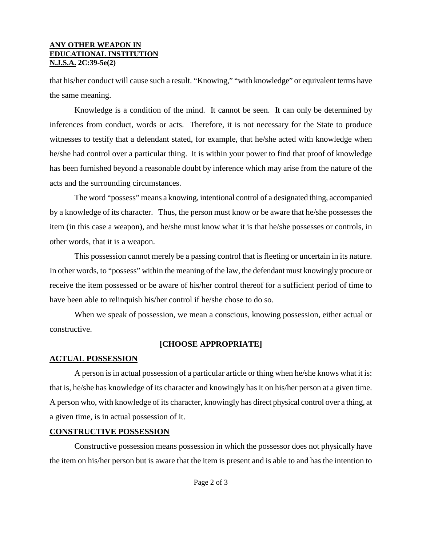#### **ANY OTHER WEAPON IN EDUCATIONAL INSTITUTION N.J.S.A. 2C:39-5e(2)**

that his/her conduct will cause such a result. "Knowing," "with knowledge" or equivalent terms have the same meaning.

Knowledge is a condition of the mind. It cannot be seen. It can only be determined by inferences from conduct, words or acts. Therefore, it is not necessary for the State to produce witnesses to testify that a defendant stated, for example, that he/she acted with knowledge when he/she had control over a particular thing. It is within your power to find that proof of knowledge has been furnished beyond a reasonable doubt by inference which may arise from the nature of the acts and the surrounding circumstances.

The word "possess" means a knowing, intentional control of a designated thing, accompanied by a knowledge of its character. Thus, the person must know or be aware that he/she possesses the item (in this case a weapon), and he/she must know what it is that he/she possesses or controls, in other words, that it is a weapon.

This possession cannot merely be a passing control that is fleeting or uncertain in its nature. In other words, to "possess" within the meaning of the law, the defendant must knowingly procure or receive the item possessed or be aware of his/her control thereof for a sufficient period of time to have been able to relinquish his/her control if he/she chose to do so.

When we speak of possession, we mean a conscious, knowing possession, either actual or constructive.

# **[CHOOSE APPROPRIATE]**

### **ACTUAL POSSESSION**

A person is in actual possession of a particular article or thing when he/she knows what it is: that is, he/she has knowledge of its character and knowingly has it on his/her person at a given time. A person who, with knowledge of its character, knowingly has direct physical control over a thing, at a given time, is in actual possession of it.

### **CONSTRUCTIVE POSSESSION**

Constructive possession means possession in which the possessor does not physically have the item on his/her person but is aware that the item is present and is able to and has the intention to